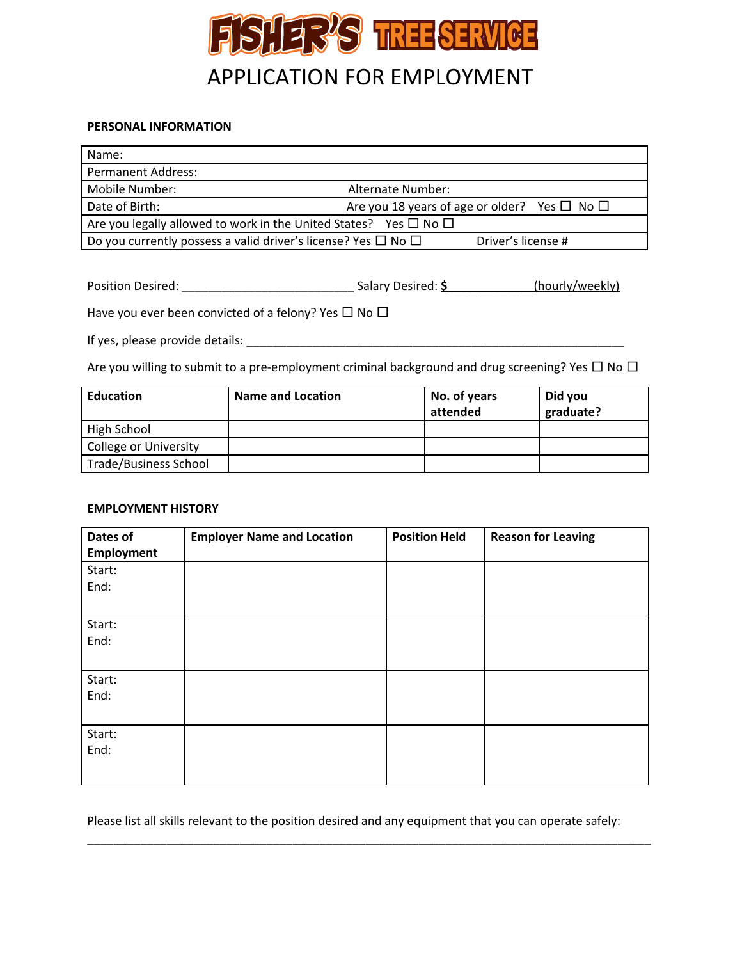

## **PERSONAL INFORMATION**

| Name:                                                                      |                                                        |  |  |
|----------------------------------------------------------------------------|--------------------------------------------------------|--|--|
| <b>Permanent Address:</b>                                                  |                                                        |  |  |
| Mobile Number:                                                             | Alternate Number:                                      |  |  |
| Date of Birth:                                                             | Are you 18 years of age or older? Yes $\Box$ No $\Box$ |  |  |
| Are you legally allowed to work in the United States? Yes $\Box$ No $\Box$ |                                                        |  |  |
| Do you currently possess a valid driver's license? Yes $\Box$ No $\Box$    | Driver's license #                                     |  |  |

| <b>Position Desired:</b> | Salary Desired: \$ | (hourly/weekly) |
|--------------------------|--------------------|-----------------|
|                          |                    |                 |

Have you ever been convicted of a felony? Yes  $\Box$  No  $\Box$ 

If yes, please provide details: \_\_\_\_\_\_\_\_\_\_\_\_\_\_\_\_\_\_\_\_\_\_\_\_\_\_\_\_\_\_\_\_\_\_\_\_\_\_\_\_\_\_\_\_\_\_\_\_\_\_\_\_\_\_\_\_\_

Are you willing to submit to a pre-employment criminal background and drug screening? Yes  $\Box$  No  $\Box$ 

| <b>Education</b>             | Name and Location | No. of years<br>attended | Did you<br>graduate? |
|------------------------------|-------------------|--------------------------|----------------------|
| High School                  |                   |                          |                      |
| <b>College or University</b> |                   |                          |                      |
| <b>Trade/Business School</b> |                   |                          |                      |

## **EMPLOYMENT HISTORY**

| Dates of          | <b>Employer Name and Location</b> | <b>Position Held</b> | <b>Reason for Leaving</b> |
|-------------------|-----------------------------------|----------------------|---------------------------|
| <b>Employment</b> |                                   |                      |                           |
| Start:            |                                   |                      |                           |
| End:              |                                   |                      |                           |
|                   |                                   |                      |                           |
| Start:            |                                   |                      |                           |
| End:              |                                   |                      |                           |
|                   |                                   |                      |                           |
| Start:            |                                   |                      |                           |
| End:              |                                   |                      |                           |
|                   |                                   |                      |                           |
| Start:            |                                   |                      |                           |
| End:              |                                   |                      |                           |
|                   |                                   |                      |                           |
|                   |                                   |                      |                           |

Please list all skills relevant to the position desired and any equipment that you can operate safely:

\_\_\_\_\_\_\_\_\_\_\_\_\_\_\_\_\_\_\_\_\_\_\_\_\_\_\_\_\_\_\_\_\_\_\_\_\_\_\_\_\_\_\_\_\_\_\_\_\_\_\_\_\_\_\_\_\_\_\_\_\_\_\_\_\_\_\_\_\_\_\_\_\_\_\_\_\_\_\_\_\_\_\_\_\_